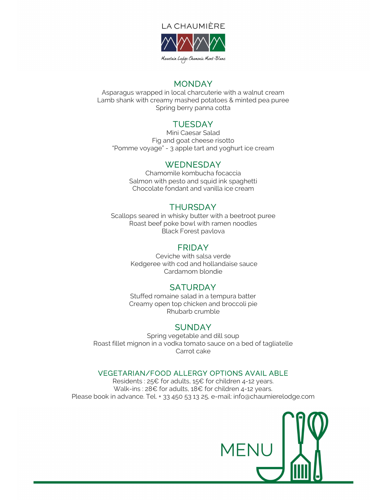

#### **MONDAY**

Asparagus wrapped in local charcuterie with a walnut cream Lamb shank with creamy mashed potatoes & minted pea puree Spring berry panna cotta

### **TUESDAY**

Mini Caesar Salad Fig and goat cheese risotto "Pomme voyage" - 3 apple tart and yoghurt ice cream

#### **WEDNESDAY**

Chamomile kombucha focaccia Salmon with pesto and squid ink spaghetti Chocolate fondant and vanilla ice cream

### **THURSDAY**

Scallops seared in whisky butter with a beetroot puree Roast beef poke bowl with ramen noodles Black Forest pavlova

## **FRIDAY**

Ceviche with salsa verde Kedgeree with cod and hollandaise sauce Cardamom blondie

# **SATURDAY**

Stuffed romaine salad in a tempura batter Creamy open top chicken and broccoli pie Rhubarb crumble

# **SUNDAY**

Spring vegetable and dill soup Roast fillet mignon in a vodka tomato sauce on a bed of tagliatelle Carrot cake

#### VEGETARIAN/FOOD ALLERGY OPTIONS AVAIL ABLE

Residents : 25€ for adults, 15€ for children 4-12 years. Walk-ins : 28€ for adults, 18€ for children 4-12 years. Please book in advance. Tel. + 33 450 53 13 25, e-mail: info@chaumierelodge.com